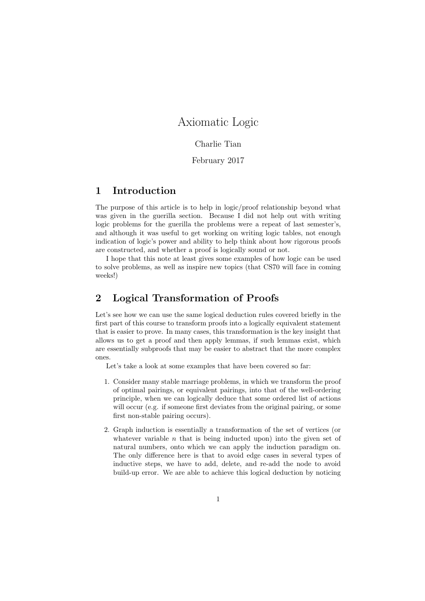# Axiomatic Logic

#### Charlie Tian

#### February 2017

# 1 Introduction

The purpose of this article is to help in logic/proof relationship beyond what was given in the guerilla section. Because I did not help out with writing logic problems for the guerilla the problems were a repeat of last semester's, and although it was useful to get working on writing logic tables, not enough indication of logic's power and ability to help think about how rigorous proofs are constructed, and whether a proof is logically sound or not.

I hope that this note at least gives some examples of how logic can be used to solve problems, as well as inspire new topics (that CS70 will face in coming weeks!)

## 2 Logical Transformation of Proofs

Let's see how we can use the same logical deduction rules covered briefly in the first part of this course to transform proofs into a logically equivalent statement that is easier to prove. In many cases, this transformation is the key insight that allows us to get a proof and then apply lemmas, if such lemmas exist, which are essentially subproofs that may be easier to abstract that the more complex ones.

Let's take a look at some examples that have been covered so far:

- 1. Consider many stable marriage problems, in which we transform the proof of optimal pairings, or equivalent pairings, into that of the well-ordering principle, when we can logically deduce that some ordered list of actions will occur (e.g. if someone first deviates from the original pairing, or some first non-stable pairing occurs).
- 2. Graph induction is essentially a transformation of the set of vertices (or whatever variable  $n$  that is being inducted upon) into the given set of natural numbers, onto which we can apply the induction paradigm on. The only difference here is that to avoid edge cases in several types of inductive steps, we have to add, delete, and re-add the node to avoid build-up error. We are able to achieve this logical deduction by noticing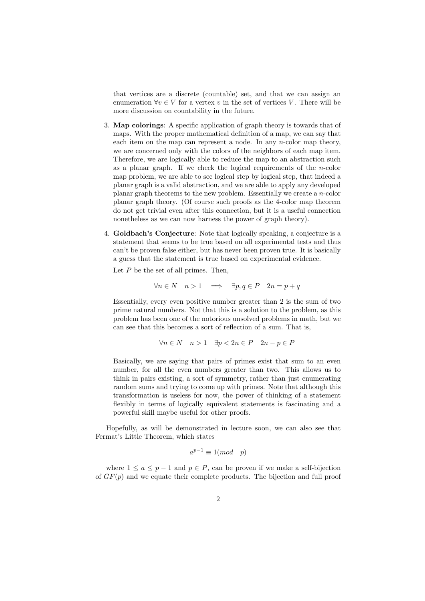that vertices are a discrete (countable) set, and that we can assign an enumeration  $\forall v \in V$  for a vertex v in the set of vertices V. There will be more discussion on countability in the future.

- 3. Map colorings: A specific application of graph theory is towards that of maps. With the proper mathematical definition of a map, we can say that each item on the map can represent a node. In any *n*-color map theory, we are concerned only with the colors of the neighbors of each map item. Therefore, we are logically able to reduce the map to an abstraction such as a planar graph. If we check the logical requirements of the  $n$ -color map problem, we are able to see logical step by logical step, that indeed a planar graph is a valid abstraction, and we are able to apply any developed planar graph theorems to the new problem. Essentially we create a n-color planar graph theory. (Of course such proofs as the 4-color map theorem do not get trivial even after this connection, but it is a useful connection nonetheless as we can now harness the power of graph theory).
- 4. Goldbach's Conjecture: Note that logically speaking, a conjecture is a statement that seems to be true based on all experimental tests and thus can't be proven false either, but has never been proven true. It is basically a guess that the statement is true based on experimental evidence.

Let  $P$  be the set of all primes. Then,

$$
\forall n \in N \quad n > 1 \quad \Longrightarrow \quad \exists p, q \in P \quad 2n = p + q
$$

Essentially, every even positive number greater than 2 is the sum of two prime natural numbers. Not that this is a solution to the problem, as this problem has been one of the notorious unsolved problems in math, but we can see that this becomes a sort of reflection of a sum. That is,

$$
\forall n \in N \quad n > 1 \quad \exists p < 2n \in P \quad 2n - p \in P
$$

Basically, we are saying that pairs of primes exist that sum to an even number, for all the even numbers greater than two. This allows us to think in pairs existing, a sort of symmetry, rather than just enumerating random sums and trying to come up with primes. Note that although this transformation is useless for now, the power of thinking of a statement flexibly in terms of logically equivalent statements is fascinating and a powerful skill maybe useful for other proofs.

Hopefully, as will be demonstrated in lecture soon, we can also see that Fermat's Little Theorem, which states

$$
a^{p-1} \equiv 1 \pmod{p}
$$

where  $1 \le a \le p-1$  and  $p \in P$ , can be proven if we make a self-bijection of  $GF(p)$  and we equate their complete products. The bijection and full proof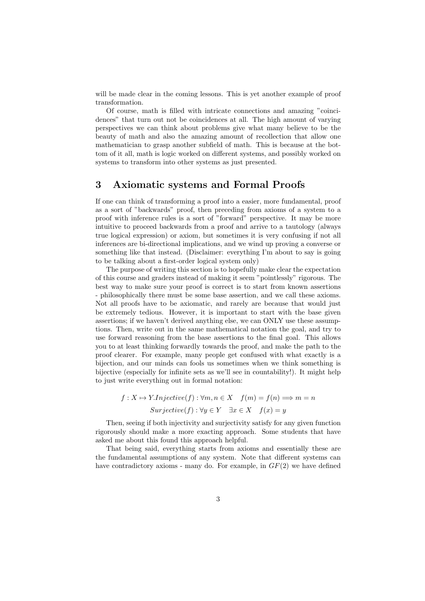will be made clear in the coming lessons. This is yet another example of proof transformation.

Of course, math is filled with intricate connections and amazing "coincidences" that turn out not be coincidences at all. The high amount of varying perspectives we can think about problems give what many believe to be the beauty of math and also the amazing amount of recollection that allow one mathematician to grasp another subfield of math. This is because at the bottom of it all, math is logic worked on different systems, and possibly worked on systems to transform into other systems as just presented.

### 3 Axiomatic systems and Formal Proofs

If one can think of transforming a proof into a easier, more fundamental, proof as a sort of "backwards" proof, then preceding from axioms of a system to a proof with inference rules is a sort of "forward" perspective. It may be more intuitive to proceed backwards from a proof and arrive to a tautology (always true logical expression) or axiom, but sometimes it is very confusing if not all inferences are bi-directional implications, and we wind up proving a converse or something like that instead. (Disclaimer: everything I'm about to say is going to be talking about a first-order logical system only)

The purpose of writing this section is to hopefully make clear the expectation of this course and graders instead of making it seem "pointlessly" rigorous. The best way to make sure your proof is correct is to start from known assertions - philosophically there must be some base assertion, and we call these axioms. Not all proofs have to be axiomatic, and rarely are because that would just be extremely tedious. However, it is important to start with the base given assertions; if we haven't derived anything else, we can ONLY use these assumptions. Then, write out in the same mathematical notation the goal, and try to use forward reasoning from the base assertions to the final goal. This allows you to at least thinking forwardly towards the proof, and make the path to the proof clearer. For example, many people get confused with what exactly is a bijection, and our minds can fools us sometimes when we think something is bijective (especially for infinite sets as we'll see in countability!). It might help to just write everything out in formal notation:

$$
f: X \mapsto Y. Injective(f): \forall m, n \in X \quad f(m) = f(n) \Longrightarrow m = n
$$
  
 
$$
Surjective(f): \forall y \in Y \quad \exists x \in X \quad f(x) = y
$$

Then, seeing if both injectivity and surjectivity satisfy for any given function rigorously should make a more exacting approach. Some students that have asked me about this found this approach helpful.

That being said, everything starts from axioms and essentially these are the fundamental assumptions of any system. Note that different systems can have contradictory axioms - many do. For example, in  $GF(2)$  we have defined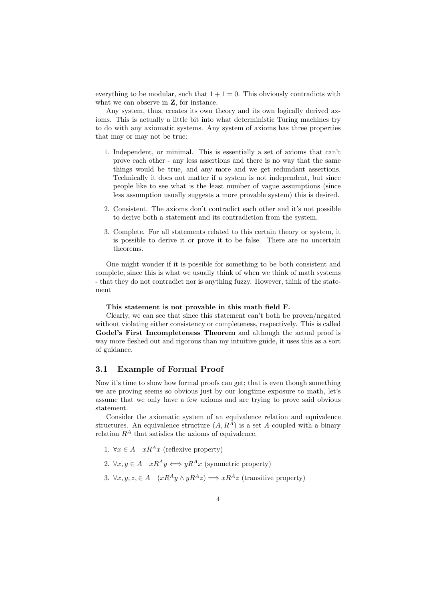everything to be modular, such that  $1 + 1 = 0$ . This obviously contradicts with what we can observe in **Z**, for instance.

Any system, thus, creates its own theory and its own logically derived axioms. This is actually a little bit into what deterministic Turing machines try to do with any axiomatic systems. Any system of axioms has three properties that may or may not be true:

- 1. Independent, or minimal. This is essentially a set of axioms that can't prove each other - any less assertions and there is no way that the same things would be true, and any more and we get redundant assertions. Technically it does not matter if a system is not independent, but since people like to see what is the least number of vague assumptions (since less assumption usually suggests a more provable system) this is desired.
- 2. Consistent. The axioms don't contradict each other and it's not possible to derive both a statement and its contradiction from the system.
- 3. Complete. For all statements related to this certain theory or system, it is possible to derive it or prove it to be false. There are no uncertain theorems.

One might wonder if it is possible for something to be both consistent and complete, since this is what we usually think of when we think of math systems - that they do not contradict nor is anything fuzzy. However, think of the statement

This statement is not provable in this math field F.

Clearly, we can see that since this statement can't both be proven/negated without violating either consistency or completeness, respectively. This is called Godel's First Incompleteness Theorem and although the actual proof is way more fleshed out and rigorous than my intuitive guide, it uses this as a sort of guidance.

#### 3.1 Example of Formal Proof

Now it's time to show how formal proofs can get; that is even though something we are proving seems so obvious just by our longtime exposure to math, let's assume that we only have a few axioms and are trying to prove said obvious statement.

Consider the axiomatic system of an equivalence relation and equivalence structures. An equivalence structure  $(A, R^A)$  is a set A coupled with a binary relation  $R^A$  that satisfies the axioms of equivalence.

- 1.  $\forall x \in A$   $xR^Ax$  (reflexive property)
- 2.  $\forall x, y \in A$   $xR^Ay \iff yR^Ax$  (symmetric property)
- 3.  $\forall x, y, z \in A$   $(xR^A y \wedge yR^A z) \Longrightarrow xR^A z$  (transitive property)